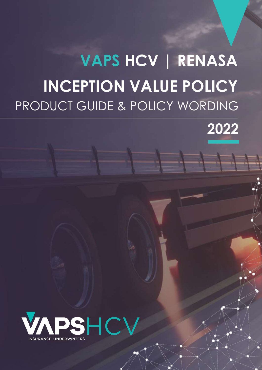# 20 PRODUCT GUIDE & POLICY WORDING **VAPS HCV | RENASA INCEPTION VALUE POLICY**

**VAPS INCEPTION VALUE POLICY** 



**VAPS INCEPTION VALUE POLICY**

Policy Wording

 $\mathbb{R}$  V  $\mathbb{N}$   $\mathbb{N}$   $\mathbb{N}$   $\mathbb{N}$   $\mathbb{N}$   $\mathbb{N}$   $\mathbb{N}$   $\mathbb{N}$   $\mathbb{N}$   $\mathbb{N}$   $\mathbb{N}$   $\mathbb{N}$   $\mathbb{N}$   $\mathbb{N}$   $\mathbb{N}$   $\mathbb{N}$   $\mathbb{N}$   $\mathbb{N}$   $\mathbb{N}$   $\mathbb{N}$   $\mathbb{N}$   $\mathbb{N}$   $\mathbb{N}$   $\math$ 

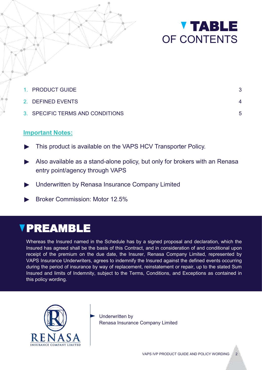



| 1. PRODUCT GUIDE                 |   |
|----------------------------------|---|
| 2. DEFINED EVENTS                |   |
| 3. SPECIFIC TERMS AND CONDITIONS | 5 |

### **Important Notes:**

- This product is available on the VAPS HCV Transporter Policy.
- Also available as a stand-alone policy, but only for brokers with an Renasa entry point/agency through VAPS
- Underwritten by Renasa Insurance Company Limited
- ► Broker Commission: Motor 12.5%

# **VPREAMBLE**

Whereas the Insured named in the Schedule has by a signed proposal and declaration, which the Insured has agreed shall be the basis of this Contract, and in consideration of and conditional upon receipt of the premium on the due date, the Insurer, Renasa Company Limited, represented by VAPS Insurance Underwriters, agrees to indemnify the Insured against the defined events occurring during the period of insurance by way of replacement, reinstatement or repair, up to the stated Sum Insured and limits of Indemnity, subject to the Terms, Conditions, and Exceptions as contained in this policy wording.



Underwritten by Renasa Insurance Company Limited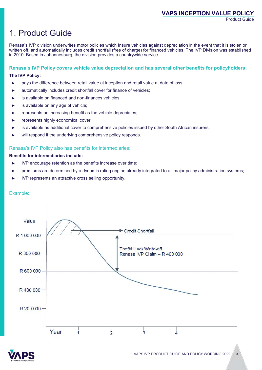## 1. Product Guide

Renasa's IVP division underwrites motor policies which Insure vehicles against depreciation in the event that it is stolen or written off, and automatically includes credit shortfall (free of charge) for financed vehicles. The IVP Division was established in 2010. Based in Johannesburg, the division provides a countrywide service.

**Renasa's IVP Policy covers vehicle value depreciation and has several other benefits for policyholders:**

#### **The IVP Policy:**

- ► pays the difference between retail value at inception and retail value at date of loss;
- automatically includes credit shortfall cover for finance of vehicles;
- is available on financed and non-finances vehicles;
- is available on any age of vehicle:
- represents an increasing benefit as the vehicle depreciates;
- represents highly economical cover;
- is available as additional cover to comprehensive policies issued by other South African insurers;
- will respond if the underlying comprehensive policy responds.

#### Renasa's IVP Policy also has benefits for intermediaries:

#### **Benefits for intermediaries include:**

- IVP encourage retention as the benefits increase over time;
- premiums are determined by a dynamic rating engine already integrated to all major policy administration systems;
- IVP represents an attractive cross selling opportunity.

#### Example:



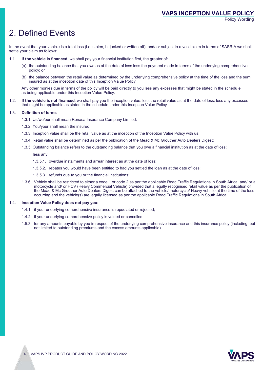Policy Wording

# 2. Defined Events

In the event that your vehicle is a total loss (i.e. stolen, hi-jacked or written off), and/ or subject to a valid claim in terms of SASRIA we shall settle your claim as follows:

- 1.1 **If the vehicle is financed**, we shall pay your financial institution first, the greater of:
	- (a) the outstanding balance that you owe as at the date of loss less the payment made in terms of the underlying comprehensive policy; or
	- (b) the balance between the retail value as determined by the underlying comprehensive policy at the time of the loss and the sum insured as at the inception date of this Inception Value Policy

Any other monies due in terms of the policy will be paid directly to you less any excesses that might be stated in the schedule as being applicable under this Inception Value Policy.

1.2. **If the vehicle is not financed**, we shall pay you the inception value: less the retail value as at the date of loss; less any excesses that might be applicable as stated in the schedule under this Inception Value Policy

#### 1.3. **Definition of terms**

- 1.3.1. Us/we/our shall mean Renasa Insurance Company Limited;
- 1.3.2. You/your shall mean the insured;
- 1.3.3. Inception value shall be the retail value as at the inception of the Inception Value Policy with us;
- 1.3.4. Retail value shall be determined as per the publication of the Mead & Mc Grouther Auto Dealers Digest;
- 1.3.5. Outstanding balance refers to the outstanding balance that you owe a financial institution as at the date of loss;

less any:

- 1.3.5.1. overdue instalments and arrear interest as at the date of loss;
- 1.3.5.2. rebates you would have been entitled to had you settled the loan as at the date of loss;
- 1.3.5.3. refunds due to you or the financial institutions;
- 1.3.6. Vehicle shall be restricted to either a code 1 or code 2 as per the applicable Road Traffic Regulations in South Africa. and/ or a motorcycle and/ or HCV (Heavy Commercial Vehicle) provided that a legally recognised retail value as per the publication of the Mead & Mc Grouther Auto Dealers Digest can be attached to the vehicle/ motorcycle/ Heavy vehicle at the time of the loss occurring and the vehicle(s) are legally licensed as per the applicable Road Traffic Regulations in South Africa.

#### 1.4. **Inception Value Policy does not pay you:**

- 1.4.1. if your underlying comprehensive insurance is repudiated or rejected;
- 1.4.2. if your underlying comprehensive policy is voided or cancelled;
- 1.5.3. for any amounts payable by you in respect of the underlying comprehensive insurance and this insurance policy (including, but not limited to outstanding premiums and the excess amounts applicable).

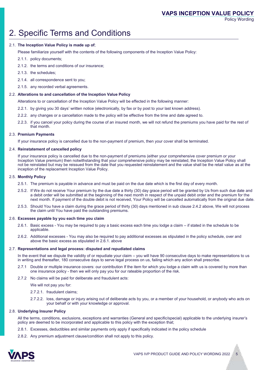Policy Wording

### 2. Specific Terms and Conditions

#### 2.1. **The Inception Value Policy is made up of**;

Please familiarize yourself with the contents of the following components of the Inception Value Policy:

- 2.1.1. policy documents;
- 2.1.2. the terms and conditions of our insurance;
- 2.1.3. the schedules;
- 2.1.4. all correspondence sent to you;
- 2.1.5. any recorded verbal agreements.

#### 2.2. **Alterations to and cancellation of the Inception Value Policy**

Alterations to or cancellation of the Inception Value Policy will be effected in the following manner:

- 2.2.1. by giving you 30 days' written notice (electronically, by fax or by post to your last known address).
- 2.2.2. any changes or a cancellation made to the policy will be effective from the time and date agreed to.
- 2.2.3. if you cancel your policy during the course of an insured month, we will not refund the premiums you have paid for the rest of that month.

#### 2.3. **Premium Payments**

If your insurance policy is cancelled due to the non-payment of premium, then your cover shall be terminated.

#### 2.4. **Reinstatement of cancelled policy**

If your insurance policy is cancelled due to the non-payment of premiums (either your comprehensive cover premium or your Inception Value premium) then notwithstanding that your comprehensive policy may be reinstated, the Inception Value Policy shall not be reinstated but may be reissued from the date that you requested reinstatement and the value shall be the retail value as at the inception of the replacement Inception Value Policy.

#### 2.5. **Monthly Policy**

- 2.5.1. The premium is payable in advance and must be paid on the due date which is the first day of every month.
- 2.5.2. If We do not receive Your premium by the due date a thirty (30) day grace period will be granted by Us from such due date and a debit order will be submitted at the beginning of the next month in respect of the unpaid debit order and the premium for the next month. If payment of the double debit is not received, Your Policy will be cancelled automatically from the original due date.
- 2.5.3. Should You have a claim during the grace period of thirty (30) days mentioned in sub clause 2.4.2 above, We will not process the claim until You have paid the outstanding premiums.

#### 2.6. **Excesses payable by you each time you claim**

- 2.6.1. Basic excess You may be required to pay a basic excess each time you lodge a claim if stated in the schedule to be applicable.
- 2.6.2. Additional excesses You may also be required to pay additional excesses as stipulated in the policy schedule, over and above the basic excess as stipulated in 2.6.1. above

#### 2.7. **Representations and legal process: disputed and repudiated claims**

In the event that we dispute the validity of or repudiate your claim – you will have 90 consecutive days to make representations to us in writing and thereafter, 180 consecutive days to serve legal process on us, failing which any action shall prescribe.

- 2.7.1 Double or multiple insurance covers: our contribution If the item for which you lodge a claim with us is covered by more than one insurance policy - then we will only pay you for our rateable proportion of the risk.
- 2.7.2 No claims will be paid for deliberate and fraudulent acts:

We will not pay you for:

- 2.7.2.1. fraudulent claims;
- 2.7.2.2. loss, damage or injury arising out of deliberate acts by you, or a member of your household, or anybody who acts on your behalf or with your knowledge or approval.

#### 2.8. **Underlying Insurer Policy**

All the terms, conditions, exclusions, exceptions and warranties (General and specific/special) applicable to the underlying insurer's policy are deemed to be incorporated and applicable to this policy with the exception that;

- 2.8.1. Excesses, deductibles and similar payments only apply if specifically indicated in the policy schedule
- 2.8.2. Any premium adjustment clause/condition shall not apply to this policy.